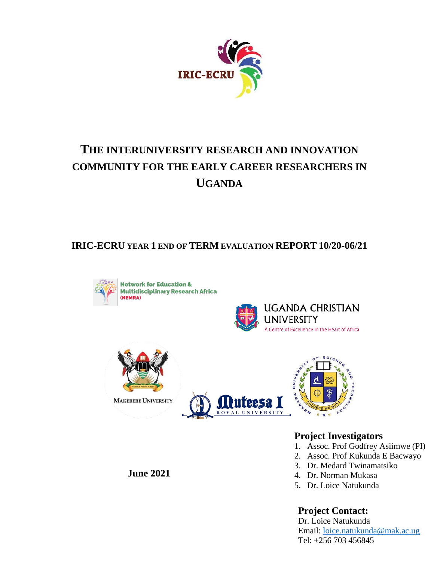

# **THE INTERUNIVERSITY RESEARCH AND INNOVATION COMMUNITY FOR THE EARLY CAREER RESEARCHERS IN UGANDA**

**IRIC-ECRU YEAR 1 END OF TERM EVALUATION REPORT 10/20-06/21**



**Network for Education & Multidisciplinary Research Africa** 









### **Project Investigators**

- 1. Assoc. Prof Godfrey Asiimwe (PI)
- 2. Assoc. Prof Kukunda E Bacwayo
- 3. Dr. Medard Twinamatsiko
- 4. Dr. Norman Mukasa
- 5. Dr. Loice Natukunda

### **Project Contact:**

Dr. Loice Natukunda Email: [loice.natukunda@mak.ac.ug](mailto:loice.natukunda@mak.ac.ug) Tel: +256 703 456845

### **June 2021**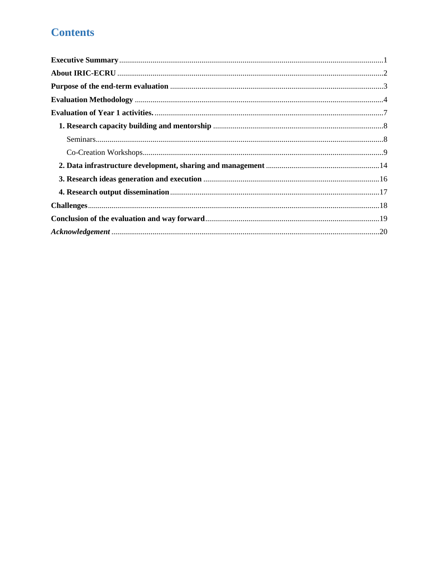# **Contents**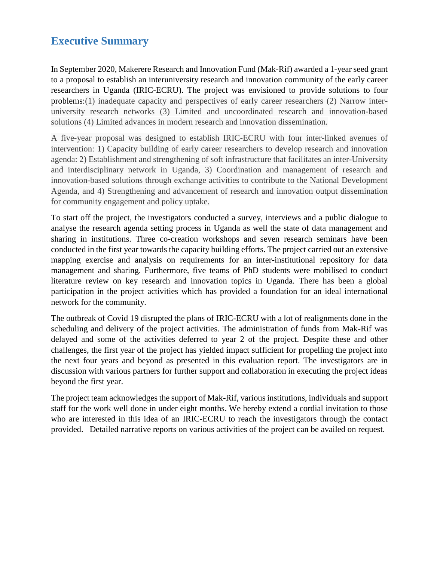# <span id="page-3-0"></span>**Executive Summary**

In September 2020, Makerere Research and Innovation Fund (Mak-Rif) awarded a 1-year seed grant to a proposal to establish an interuniversity research and innovation community of the early career researchers in Uganda (IRIC-ECRU). The project was envisioned to provide solutions to four problems:(1) inadequate capacity and perspectives of early career researchers (2) Narrow interuniversity research networks (3) Limited and uncoordinated research and innovation-based solutions (4) Limited advances in modern research and innovation dissemination.

A five-year proposal was designed to establish IRIC-ECRU with four inter-linked avenues of intervention: 1) Capacity building of early career researchers to develop research and innovation agenda: 2) Establishment and strengthening of soft infrastructure that facilitates an inter-University and interdisciplinary network in Uganda, 3) Coordination and management of research and innovation-based solutions through exchange activities to contribute to the National Development Agenda, and 4) Strengthening and advancement of research and innovation output dissemination for community engagement and policy uptake.

To start off the project, the investigators conducted a survey, interviews and a public dialogue to analyse the research agenda setting process in Uganda as well the state of data management and sharing in institutions. Three co-creation workshops and seven research seminars have been conducted in the first year towards the capacity building efforts. The project carried out an extensive mapping exercise and analysis on requirements for an inter-institutional repository for data management and sharing. Furthermore, five teams of PhD students were mobilised to conduct literature review on key research and innovation topics in Uganda. There has been a global participation in the project activities which has provided a foundation for an ideal international network for the community.

The outbreak of Covid 19 disrupted the plans of IRIC-ECRU with a lot of realignments done in the scheduling and delivery of the project activities. The administration of funds from Mak-Rif was delayed and some of the activities deferred to year 2 of the project. Despite these and other challenges, the first year of the project has yielded impact sufficient for propelling the project into the next four years and beyond as presented in this evaluation report. The investigators are in discussion with various partners for further support and collaboration in executing the project ideas beyond the first year.

The project team acknowledges the support of Mak-Rif, various institutions, individuals and support staff for the work well done in under eight months. We hereby extend a cordial invitation to those who are interested in this idea of an IRIC-ECRU to reach the investigators through the contact provided. Detailed narrative reports on various activities of the project can be availed on request.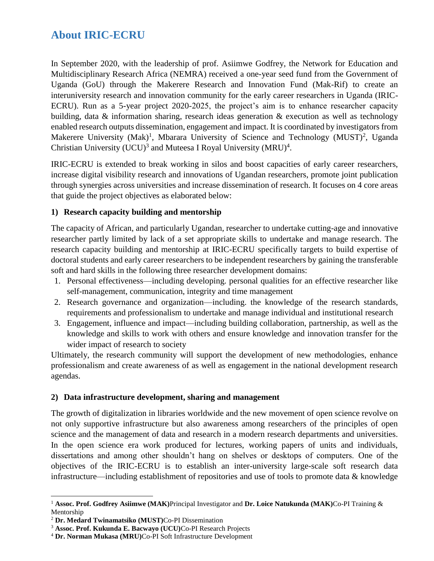# <span id="page-4-0"></span>**About IRIC-ECRU**

In September 2020, with the leadership of prof. Asiimwe Godfrey, the Network for Education and Multidisciplinary Research Africa (NEMRA) received a one-year seed fund from the Government of Uganda (GoU) through the Makerere Research and Innovation Fund (Mak-Rif) to create an interuniversity research and innovation community for the early career researchers in Uganda (IRIC-ECRU). Run as a 5-year project 2020-2025, the project's aim is to enhance researcher capacity building, data & information sharing, research ideas generation & execution as well as technology enabled research outputs dissemination, engagement and impact. It is coordinated by investigators from Makerere University (Mak)<sup>1</sup>, Mbarara University of Science and Technology (MUST)<sup>2</sup>, Uganda Christian University (UCU)<sup>3</sup> and Muteesa I Royal University (MRU)<sup>4</sup>.

IRIC-ECRU is extended to break working in silos and boost capacities of early career researchers, increase digital visibility research and innovations of Ugandan researchers, promote joint publication through synergies across universities and increase dissemination of research. It focuses on 4 core areas that guide the project objectives as elaborated below:

### **1) Research capacity building and mentorship**

The capacity of African, and particularly Ugandan, researcher to undertake cutting-age and innovative researcher partly limited by lack of a set appropriate skills to undertake and manage research. The research capacity building and mentorship at IRIC-ECRU specifically targets to build expertise of doctoral students and early career researchers to be independent researchers by gaining the transferable soft and hard skills in the following three researcher development domains:

- 1. Personal effectiveness—including developing. personal qualities for an effective researcher like self-management, communication, integrity and time management
- 2. Research governance and organization—including. the knowledge of the research standards, requirements and professionalism to undertake and manage individual and institutional research
- 3. Engagement, influence and impact—including building collaboration, partnership, as well as the knowledge and skills to work with others and ensure knowledge and innovation transfer for the wider impact of research to society

Ultimately, the research community will support the development of new methodologies, enhance professionalism and create awareness of as well as engagement in the national development research agendas.

### **2) Data infrastructure development, sharing and management**

The growth of digitalization in libraries worldwide and the new movement of open science revolve on not only supportive infrastructure but also awareness among researchers of the principles of open science and the management of data and research in a modern research departments and universities. In the open science era work produced for lectures, working papers of units and individuals, dissertations and among other shouldn't hang on shelves or desktops of computers. One of the objectives of the IRIC-ECRU is to establish an inter-university large-scale soft research data infrastructure—including establishment of repositories and use of tools to promote data & knowledge

 $\overline{a}$ 

<sup>1</sup> **Assoc. Prof. Godfrey Asiimwe (MAK)**Principal Investigator and **Dr. Loice Natukunda (MAK)**Co-PI Training & Mentorship

<sup>2</sup> **Dr. Medard Twinamatsiko (MUST)**Co-PI Dissemination

<sup>3</sup> **Assoc. Prof. Kukunda E. Bacwayo (UCU)**Co-PI Research Projects

<sup>4</sup> **Dr. Norman Mukasa (MRU)**Co-PI Soft Infrastructure Development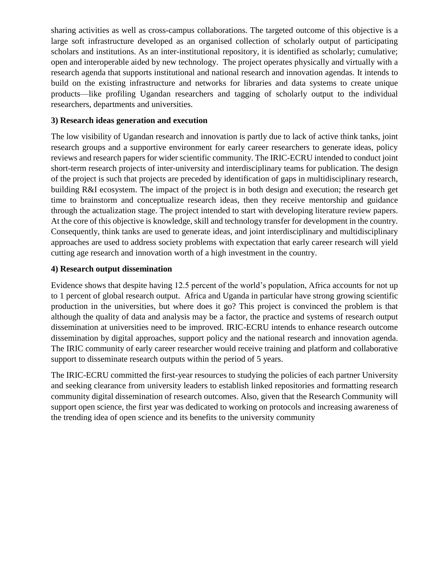sharing activities as well as cross-campus collaborations. The targeted outcome of this objective is a large soft infrastructure developed as an organised collection of scholarly output of participating scholars and institutions. As an inter-institutional repository, it is identified as scholarly; cumulative; open and interoperable aided by new technology. The project operates physically and virtually with a research agenda that supports institutional and national research and innovation agendas. It intends to build on the existing infrastructure and networks for libraries and data systems to create unique products—like profiling Ugandan researchers and tagging of scholarly output to the individual researchers, departments and universities.

### **3) Research ideas generation and execution**

The low visibility of Ugandan research and innovation is partly due to lack of active think tanks, joint research groups and a supportive environment for early career researchers to generate ideas, policy reviews and research papers for wider scientific community. The IRIC-ECRU intended to conduct joint short-term research projects of inter-university and interdisciplinary teams for publication. The design of the project is such that projects are preceded by identification of gaps in multidisciplinary research, building R&I ecosystem. The impact of the project is in both design and execution; the research get time to brainstorm and conceptualize research ideas, then they receive mentorship and guidance through the actualization stage. The project intended to start with developing literature review papers. At the core of this objective is knowledge, skill and technology transfer for development in the country. Consequently, think tanks are used to generate ideas, and joint interdisciplinary and multidisciplinary approaches are used to address society problems with expectation that early career research will yield cutting age research and innovation worth of a high investment in the country.

### **4) Research output dissemination**

Evidence shows that despite having 12.5 percent of the world's population, Africa accounts for not up to 1 percent of global research output. Africa and Uganda in particular have strong growing scientific production in the universities, but where does it go? This project is convinced the problem is that although the quality of data and analysis may be a factor, the practice and systems of research output dissemination at universities need to be improved. IRIC-ECRU intends to enhance research outcome dissemination by digital approaches, support policy and the national research and innovation agenda. The IRIC community of early career researcher would receive training and platform and collaborative support to disseminate research outputs within the period of 5 years.

The IRIC-ECRU committed the first-year resources to studying the policies of each partner University and seeking clearance from university leaders to establish linked repositories and formatting research community digital dissemination of research outcomes. Also, given that the Research Community will support open science, the first year was dedicated to working on protocols and increasing awareness of the trending idea of open science and its benefits to the university community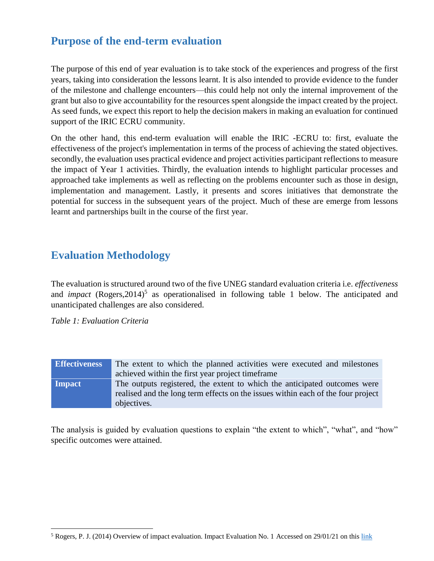# <span id="page-6-0"></span>**Purpose of the end-term evaluation**

The purpose of this end of year evaluation is to take stock of the experiences and progress of the first years, taking into consideration the lessons learnt. It is also intended to provide evidence to the funder of the milestone and challenge encounters—this could help not only the internal improvement of the grant but also to give accountability for the resources spent alongside the impact created by the project. As seed funds, we expect this report to help the decision makers in making an evaluation for continued support of the IRIC ECRU community.

On the other hand, this end-term evaluation will enable the IRIC -ECRU to: first, evaluate the effectiveness of the project's implementation in terms of the process of achieving the stated objectives. secondly, the evaluation uses practical evidence and project activities participant reflections to measure the impact of Year 1 activities. Thirdly, the evaluation intends to highlight particular processes and approached take implements as well as reflecting on the problems encounter such as those in design, implementation and management. Lastly, it presents and scores initiatives that demonstrate the potential for success in the subsequent years of the project. Much of these are emerge from lessons learnt and partnerships built in the course of the first year.

# <span id="page-6-1"></span>**Evaluation Methodology**

The evaluation is structured around two of the five UNEG standard evaluation criteria i.e. *effectiveness* and *impact* (Rogers,  $2014$ )<sup>5</sup> as operationalised in following table 1 below. The anticipated and unanticipated challenges are also considered.

*Table 1: Evaluation Criteria*

 $\overline{\phantom{a}}$ 

| <b>Effectiveness</b> | The extent to which the planned activities were executed and milestones          |  |
|----------------------|----------------------------------------------------------------------------------|--|
|                      | achieved within the first year project time frame                                |  |
| Impact               | The outputs registered, the extent to which the anticipated outcomes were        |  |
|                      | realised and the long term effects on the issues within each of the four project |  |
|                      | objectives.                                                                      |  |

The analysis is guided by evaluation questions to explain "the extent to which", "what", and "how" specific outcomes were attained.

 $5$  Rogers, P. J. (2014) Overview of impact evaluation. Impact Evaluation No. 1 Accessed on 29/01/21 on this [link](https://www.unicef-irc.org/KM/IE/img/downloads/Overview_ENG.pdf)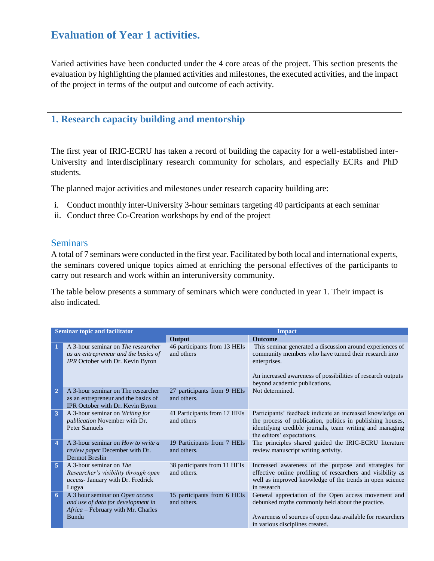# <span id="page-7-0"></span>**Evaluation of Year 1 activities.**

Varied activities have been conducted under the 4 core areas of the project. This section presents the evaluation by highlighting the planned activities and milestones, the executed activities, and the impact of the project in terms of the output and outcome of each activity.

### <span id="page-7-1"></span>**1. Research capacity building and mentorship**

The first year of IRIC-ECRU has taken a record of building the capacity for a well-established inter-University and interdisciplinary research community for scholars, and especially ECRs and PhD students.

The planned major activities and milestones under research capacity building are:

- i. Conduct monthly inter-University 3-hour seminars targeting 40 participants at each seminar
- ii. Conduct three Co-Creation workshops by end of the project

### <span id="page-7-2"></span>**Seminars**

A total of 7 seminars were conducted in the first year. Facilitated by both local and international experts, the seminars covered unique topics aimed at enriching the personal effectives of the participants to carry out research and work within an interuniversity community.

The table below presents a summary of seminars which were conducted in year 1. Their impact is also indicated.

|                         | <b>Seminar topic and facilitator</b>                                                                                        | <b>Impact</b>                               |                                                                                                                                                                                                                                    |  |
|-------------------------|-----------------------------------------------------------------------------------------------------------------------------|---------------------------------------------|------------------------------------------------------------------------------------------------------------------------------------------------------------------------------------------------------------------------------------|--|
|                         |                                                                                                                             | Output                                      | <b>Outcome</b>                                                                                                                                                                                                                     |  |
|                         | A 3-hour seminar on <i>The researcher</i><br>as an entrepreneur and the basics of<br>IPR October with Dr. Kevin Byron       | 46 participants from 13 HEIs<br>and others  | This seminar generated a discussion around experiences of<br>community members who have turned their research into<br>enterprises.<br>An increased awareness of possibilities of research outputs<br>beyond academic publications. |  |
| $\overline{2}$          | A 3-hour seminar on The researcher<br>as an entrepreneur and the basics of<br>IPR October with Dr. Kevin Byron              | 27 participants from 9 HEIs<br>and others.  | Not determined.                                                                                                                                                                                                                    |  |
| $\overline{\mathbf{3}}$ | A 3-hour seminar on Writing for<br>publication November with Dr.<br><b>Peter Samuels</b>                                    | 41 Participants from 17 HEIs<br>and others  | Participants' feedback indicate an increased knowledge on<br>the process of publication, politics in publishing houses,<br>identifying credible journals, team writing and managing<br>the editors' expectations.                  |  |
| $\overline{4}$          | A 3-hour seminar on <i>How to write a</i><br>review paper December with Dr.<br><b>Dermot Breslin</b>                        | 19 Participants from 7 HEIs<br>and others.  | The principles shared guided the IRIC-ECRU literature<br>review manuscript writing activity.                                                                                                                                       |  |
| 5                       | A 3-hour seminar on <i>The</i><br>Researcher's visibility through open<br>access- January with Dr. Fredrick<br>Lugya        | 38 participants from 11 HEIs<br>and others. | Increased awareness of the purpose and strategies for<br>effective online profiling of researchers and visibility as<br>well as improved knowledge of the trends in open science<br>in research                                    |  |
| 6                       | A 3 hour seminar on Open access<br>and use of data for development in<br>Africa – February with Mr. Charles<br><b>Bundu</b> | 15 participants from 6 HEIs<br>and others.  | General appreciation of the Open access movement and<br>debunked myths commonly held about the practice.<br>Awareness of sources of open data available for researchers<br>in various disciplines created.                         |  |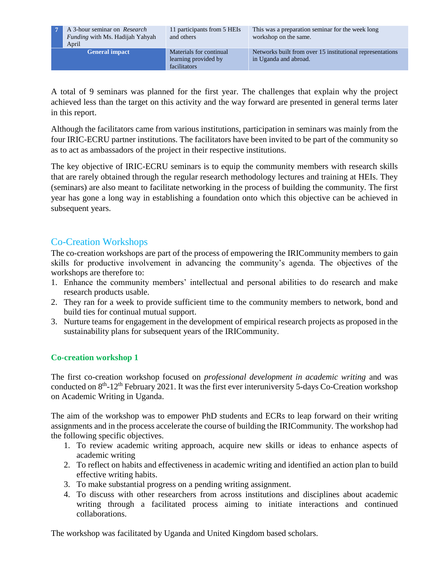**7** A 3-hour seminar on *Research Funding* with Ms. Hadijah Yahyah April

11 participants from 5 HEIs and others

**General impact** Materials for continual learning provided by facilitators

This was a preparation seminar for the week long workshop on the same.

Networks built from over 15 institutional representations in Uganda and abroad.

A total of 9 seminars was planned for the first year. The challenges that explain why the project achieved less than the target on this activity and the way forward are presented in general terms later in this report.

Although the facilitators came from various institutions, participation in seminars was mainly from the four IRIC-ECRU partner institutions. The facilitators have been invited to be part of the community so as to act as ambassadors of the project in their respective institutions.

The key objective of IRIC-ECRU seminars is to equip the community members with research skills that are rarely obtained through the regular research methodology lectures and training at HEIs. They (seminars) are also meant to facilitate networking in the process of building the community. The first year has gone a long way in establishing a foundation onto which this objective can be achieved in subsequent years.

### <span id="page-8-0"></span>Co-Creation Workshops

The co-creation workshops are part of the process of empowering the IRICommunity members to gain skills for productive involvement in advancing the community's agenda. The objectives of the workshops are therefore to:

- 1. Enhance the community members' intellectual and personal abilities to do research and make research products usable.
- 2. They ran for a week to provide sufficient time to the community members to network, bond and build ties for continual mutual support.
- 3. Nurture teams for engagement in the development of empirical research projects as proposed in the sustainability plans for subsequent years of the IRICommunity.

### **Co-creation workshop 1**

The first co-creation workshop focused on *professional development in academic writing* and was conducted on 8<sup>th</sup>-12<sup>th</sup> February 2021. It was the first ever interuniversity 5-days Co-Creation workshop on Academic Writing in Uganda.

The aim of the workshop was to empower PhD students and ECRs to leap forward on their writing assignments and in the process accelerate the course of building the IRICommunity. The workshop had the following specific objectives.

- 1. To review academic writing approach, acquire new skills or ideas to enhance aspects of academic writing
- 2. To reflect on habits and effectiveness in academic writing and identified an action plan to build effective writing habits.
- 3. To make substantial progress on a pending writing assignment.
- 4. To discuss with other researchers from across institutions and disciplines about academic writing through a facilitated process aiming to initiate interactions and continued collaborations.

The workshop was facilitated by Uganda and United Kingdom based scholars.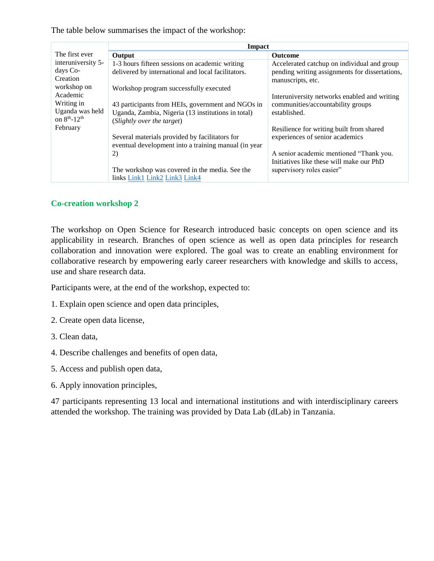The table below summarises the impact of the workshop:

|                                      | <b>Impact</b>                                        |                                                |  |
|--------------------------------------|------------------------------------------------------|------------------------------------------------|--|
| The first ever                       | Output                                               | <b>Outcome</b>                                 |  |
| interuniversity 5-                   | 1-3 hours fifteen sessions on academic writing       | Accelerated catchup on individual and group    |  |
| days Co-                             | delivered by international and local facilitators.   | pending writing assignments for dissertations, |  |
| Creation                             |                                                      | manuscripts, etc.                              |  |
| workshop on                          | Workshop program successfully executed               |                                                |  |
| Academic                             |                                                      | Interuniversity networks enabled and writing   |  |
| Writing in                           | 43 participants from HEIs, government and NGOs in    | communities/accountability groups              |  |
| Uganda was held                      | Uganda, Zambia, Nigeria (13 institutions in total)   | established.                                   |  |
| on 8 <sup>th</sup> -12 <sup>th</sup> | (Slightly over the target)                           |                                                |  |
| February                             |                                                      | Resilience for writing built from shared       |  |
|                                      | Several materials provided by facilitators for       | experiences of senior academics                |  |
|                                      | eventual development into a training manual (in year |                                                |  |
|                                      | 2)                                                   | A senior academic mentioned "Thank you.        |  |
|                                      |                                                      | Initiatives like these will make our PhD       |  |
|                                      | The workshop was covered in the media. See the       | supervisory roles easier"                      |  |
|                                      | links Link1 Link2 Link3 Link4                        |                                                |  |

### **Co-creation workshop 2**

The workshop on Open Science for Research introduced basic concepts on open science and its applicability in research. Branches of open science as well as open data principles for research collaboration and innovation were explored. The goal was to create an enabling environment for collaborative research by empowering early career researchers with knowledge and skills to access, use and share research data.

Participants were, at the end of the workshop, expected to:

- 1. Explain open science and open data principles,
- 2. Create open data license,
- 3. Clean data,
- 4. Describe challenges and benefits of open data,
- 5. Access and publish open data,
- 6. Apply innovation principles,

47 participants representing 13 local and international institutions and with interdisciplinary careers attended the workshop. The training was provided by Data Lab (dLab) in Tanzania.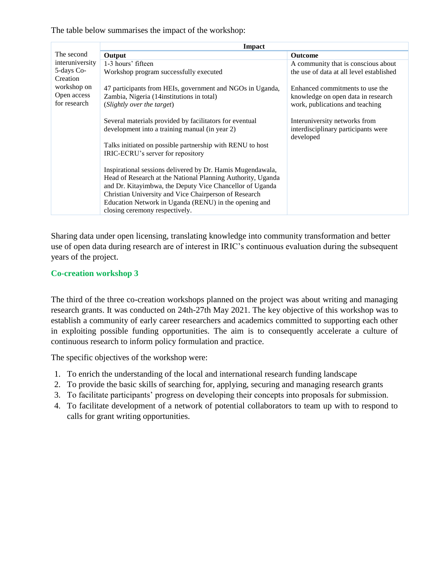The table below summarises the impact of the workshop:

|                        | Impact                                                      |                                                  |  |
|------------------------|-------------------------------------------------------------|--------------------------------------------------|--|
| The second             | Output                                                      | <b>Outcome</b>                                   |  |
| interuniversity        | 1-3 hours' fifteen                                          | A community that is conscious about              |  |
| 5-days Co-<br>Creation | Workshop program successfully executed                      | the use of data at all level established         |  |
| workshop on            | 47 participants from HEIs, government and NGOs in Uganda,   | Enhanced commitments to use the                  |  |
| Open access            | Zambia, Nigeria (14 institutions in total)                  | knowledge on open data in research               |  |
| for research           | (Slightly over the target)                                  | work, publications and teaching                  |  |
|                        |                                                             |                                                  |  |
|                        | Several materials provided by facilitators for eventual     | Interuniversity networks from                    |  |
|                        | development into a training manual (in year 2)              | interdisciplinary participants were<br>developed |  |
|                        | Talks initiated on possible partnership with RENU to host   |                                                  |  |
|                        | IRIC-ECRU's server for repository                           |                                                  |  |
|                        |                                                             |                                                  |  |
|                        | Inspirational sessions delivered by Dr. Hamis Mugendawala,  |                                                  |  |
|                        | Head of Research at the National Planning Authority, Uganda |                                                  |  |
|                        | and Dr. Kitayimbwa, the Deputy Vice Chancellor of Uganda    |                                                  |  |
|                        | Christian University and Vice Chairperson of Research       |                                                  |  |
|                        | Education Network in Uganda (RENU) in the opening and       |                                                  |  |
|                        | closing ceremony respectively.                              |                                                  |  |

Sharing data under open licensing, translating knowledge into community transformation and better use of open data during research are of interest in IRIC's continuous evaluation during the subsequent years of the project.

#### **Co-creation workshop 3**

The third of the three co-creation workshops planned on the project was about writing and managing research grants. It was conducted on 24th-27th May 2021. The key objective of this workshop was to establish a community of early career researchers and academics committed to supporting each other in exploiting possible funding opportunities. The aim is to consequently accelerate a culture of continuous research to inform policy formulation and practice.

The specific objectives of the workshop were:

- 1. To enrich the understanding of the local and international research funding landscape
- 2. To provide the basic skills of searching for, applying, securing and managing research grants
- 3. To facilitate participants' progress on developing their concepts into proposals for submission.
- 4. To facilitate development of a network of potential collaborators to team up with to respond to calls for grant writing opportunities.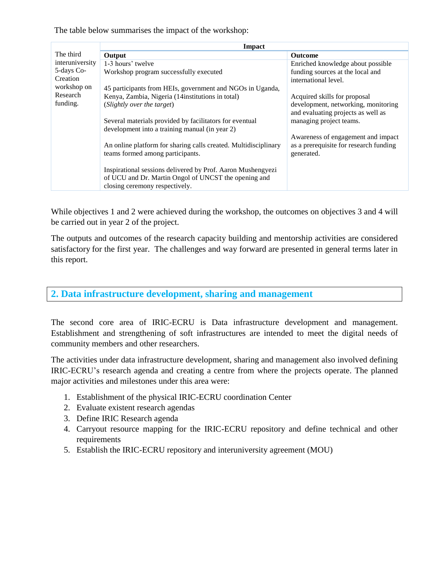The table below summarises the impact of the workshop:

|                 | <b>Impact</b>                                                                                                                                         |                                                      |  |
|-----------------|-------------------------------------------------------------------------------------------------------------------------------------------------------|------------------------------------------------------|--|
| The third       | Output                                                                                                                                                | <b>Outcome</b>                                       |  |
| interuniversity | 1-3 hours' twelve                                                                                                                                     | Enriched knowledge about possible                    |  |
| 5-days Co-      | Workshop program successfully executed                                                                                                                | funding sources at the local and                     |  |
| Creation        |                                                                                                                                                       | international level.                                 |  |
| workshop on     | 45 participants from HEIs, government and NGOs in Uganda,                                                                                             |                                                      |  |
| Research        | Kenya, Zambia, Nigeria (14institutions in total)                                                                                                      | Acquired skills for proposal                         |  |
| funding.        | (Slightly over the target)                                                                                                                            | development, networking, monitoring                  |  |
|                 |                                                                                                                                                       | and evaluating projects as well as                   |  |
|                 | Several materials provided by facilitators for eventual<br>development into a training manual (in year 2)                                             | managing project teams.                              |  |
|                 |                                                                                                                                                       | Awareness of engagement and impact                   |  |
|                 | An online platform for sharing calls created. Multidisciplinary<br>teams formed among participants.                                                   | as a prerequisite for research funding<br>generated. |  |
|                 | Inspirational sessions delivered by Prof. Aaron Mushengyezi<br>of UCU and Dr. Martin Ongol of UNCST the opening and<br>closing ceremony respectively. |                                                      |  |

While objectives 1 and 2 were achieved during the workshop, the outcomes on objectives 3 and 4 will be carried out in year 2 of the project.

The outputs and outcomes of the research capacity building and mentorship activities are considered satisfactory for the first year. The challenges and way forward are presented in general terms later in this report.

### <span id="page-11-0"></span>**2. Data infrastructure development, sharing and management**

The second core area of IRIC-ECRU is Data infrastructure development and management. Establishment and strengthening of soft infrastructures are intended to meet the digital needs of community members and other researchers.

The activities under data infrastructure development, sharing and management also involved defining IRIC-ECRU's research agenda and creating a centre from where the projects operate. The planned major activities and milestones under this area were:

- 1. Establishment of the physical IRIC-ECRU coordination Center
- 2. Evaluate existent research agendas
- 3. Define IRIC Research agenda
- 4. Carryout resource mapping for the IRIC-ECRU repository and define technical and other requirements
- 5. Establish the IRIC-ECRU repository and interuniversity agreement (MOU)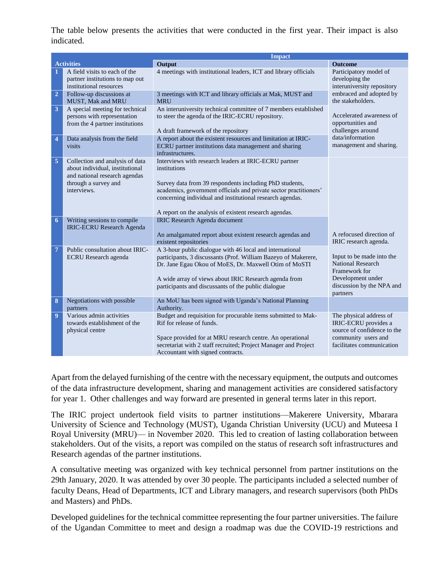The table below presents the activities that were conducted in the first year. Their impact is also indicated.

|                         | <b>Impact</b>                                                                                                                              |                                                                                                                                                                                                                                                                                                                              |                                                                                                                                      |
|-------------------------|--------------------------------------------------------------------------------------------------------------------------------------------|------------------------------------------------------------------------------------------------------------------------------------------------------------------------------------------------------------------------------------------------------------------------------------------------------------------------------|--------------------------------------------------------------------------------------------------------------------------------------|
|                         | <b>Activities</b>                                                                                                                          | Output                                                                                                                                                                                                                                                                                                                       | <b>Outcome</b>                                                                                                                       |
| 1                       | A field visits to each of the<br>partner institutions to map out<br>institutional resources                                                | 4 meetings with institutional leaders, ICT and library officials                                                                                                                                                                                                                                                             | Participatory model of<br>developing the<br>interuniversity repository                                                               |
| $\overline{2}$          | Follow-up discussions at<br><b>MUST, Mak and MRU</b>                                                                                       | 3 meetings with ICT and library officials at Mak, MUST and<br><b>MRU</b>                                                                                                                                                                                                                                                     | embraced and adopted by<br>the stakeholders.                                                                                         |
| $\overline{\mathbf{3}}$ | A special meeting for technical<br>persons with representation<br>from the 4 partner institutions                                          | An interuniversity technical committee of 7 members established<br>to steer the agenda of the IRIC-ECRU repository.<br>A draft framework of the repository                                                                                                                                                                   | Accelerated awareness of<br>opportunities and<br>challenges around                                                                   |
| $\overline{4}$          | Data analysis from the field<br>visits                                                                                                     | A report about the existent resources and limitation at IRIC-<br>ECRU partner institutions data management and sharing<br>infrastructures.                                                                                                                                                                                   | data/information<br>management and sharing.                                                                                          |
| $\overline{5}$          | Collection and analysis of data<br>about individual, institutional<br>and national research agendas<br>through a survey and<br>interviews. | Interviews with research leaders at IRIC-ECRU partner<br>institutions<br>Survey data from 39 respondents including PhD students,<br>academics, government officials and private sector practitioners'<br>concerning individual and institutional research agendas.<br>A report on the analysis of existent research agendas. |                                                                                                                                      |
| 6                       | Writing sessions to compile<br><b>IRIC-ECRU Research Agenda</b>                                                                            | <b>IRIC Research Agenda document</b><br>An amalgamated report about existent research agendas and<br>existent repositories                                                                                                                                                                                                   | A refocused direction of<br>IRIC research agenda.                                                                                    |
| $\overline{7}$          | Public consultation about IRIC-<br><b>ECRU</b> Research agenda                                                                             | A 3-hour public dialogue with 46 local and international<br>participants, 3 discussants (Prof. William Bazeyo of Makerere,<br>Dr. Jane Egau Okou of MoES, Dr. Maxwell Otim of MoSTI<br>A wide array of views about IRIC Research agenda from<br>participants and discussants of the public dialogue                          | Input to be made into the<br><b>National Research</b><br>Framework for<br>Development under<br>discussion by the NPA and<br>partners |
| 8                       | Negotiations with possible<br>partners                                                                                                     | An MoU has been signed with Uganda's National Planning<br>Authority.                                                                                                                                                                                                                                                         |                                                                                                                                      |
| $\overline{9}$          | Various admin activities<br>towards establishment of the<br>physical centre                                                                | Budget and requisition for procurable items submitted to Mak-<br>Rif for release of funds.<br>Space provided for at MRU research centre. An operational<br>secretariat with 2 staff recruited; Project Manager and Project<br>Accountant with signed contracts.                                                              | The physical address of<br>IRIC-ECRU provides a<br>source of confidence to the<br>community users and<br>facilitates communication   |

Apart from the delayed furnishing of the centre with the necessary equipment, the outputs and outcomes of the data infrastructure development, sharing and management activities are considered satisfactory for year 1. Other challenges and way forward are presented in general terms later in this report.

The IRIC project undertook field visits to partner institutions—Makerere University, Mbarara University of Science and Technology (MUST), Uganda Christian University (UCU) and Muteesa I Royal University (MRU)— in November 2020. This led to creation of lasting collaboration between stakeholders. Out of the visits, a report was compiled on the status of research soft infrastructures and Research agendas of the partner institutions.

A consultative meeting was organized with key technical personnel from partner institutions on the 29th January, 2020. It was attended by over 30 people. The participants included a selected number of faculty Deans, Head of Departments, ICT and Library managers, and research supervisors (both PhDs and Masters) and PhDs.

Developed guidelines for the technical committee representing the four partner universities. The failure of the Ugandan Committee to meet and design a roadmap was due the COVID-19 restrictions and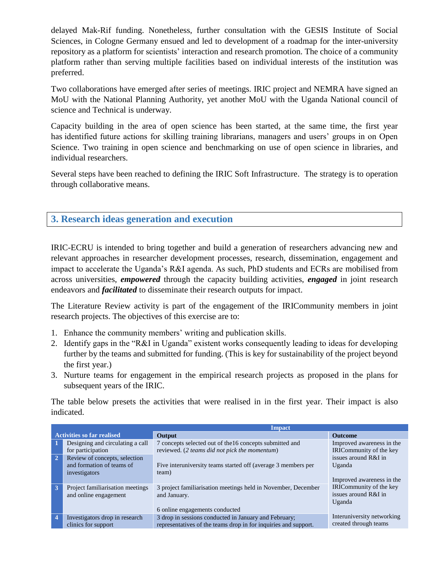delayed Mak-Rif funding. Nonetheless, further consultation with the GESIS Institute of Social Sciences, in Cologne Germany ensued and led to development of a roadmap for the inter-university repository as a platform for scientists' interaction and research promotion. The choice of a community platform rather than serving multiple facilities based on individual interests of the institution was preferred.

Two collaborations have emerged after series of meetings. IRIC project and NEMRA have signed an MoU with the National Planning Authority, yet another MoU with the Uganda National council of science and Technical is underway.

Capacity building in the area of open science has been started, at the same time, the first year has identified future actions for skilling training librarians, managers and users' groups in on Open Science. Two training in open science and benchmarking on use of open science in libraries, and individual researchers.

Several steps have been reached to defining the IRIC Soft Infrastructure. The strategy is to operation through collaborative means.

### <span id="page-13-0"></span>**3. Research ideas generation and execution**

IRIC-ECRU is intended to bring together and build a generation of researchers advancing new and relevant approaches in researcher development processes, research, dissemination, engagement and impact to accelerate the Uganda's R&I agenda. As such, PhD students and ECRs are mobilised from across universities, *empowered* through the capacity building activities, *engaged* in joint research endeavors and *facilitated* to disseminate their research outputs for impact.

The Literature Review activity is part of the engagement of the IRICommunity members in joint research projects. The objectives of this exercise are to:

- 1. Enhance the community members' writing and publication skills.
- 2. Identify gaps in the "R&I in Uganda" existent works consequently leading to ideas for developing further by the teams and submitted for funding. (This is key for sustainability of the project beyond the first year.)
- 3. Nurture teams for engagement in the empirical research projects as proposed in the plans for subsequent years of the IRIC.

The table below presets the activities that were realised in in the first year. Their impact is also indicated.

|                | <b>Impact</b>                                                                                                                        |                                                                                                                                                                                     |                                                                                        |
|----------------|--------------------------------------------------------------------------------------------------------------------------------------|-------------------------------------------------------------------------------------------------------------------------------------------------------------------------------------|----------------------------------------------------------------------------------------|
|                | <b>Activities so far realised</b>                                                                                                    | Output                                                                                                                                                                              | <b>Outcome</b>                                                                         |
| $\overline{2}$ | Designing and circulating a call<br>for participation<br>Review of concepts, selection<br>and formation of teams of<br>investigators | 7 concepts selected out of the 16 concepts submitted and<br>reviewed. (2 teams did not pick the momentum)<br>Five interuniversity teams started off (average 3 members per<br>team) | Improved awareness in the<br>IRICommunity of the key<br>issues around R&I in<br>Uganda |
| 3              | Project familiarisation meetings<br>and online engagement                                                                            | 3 project familiarisation meetings held in November, December<br>and January.<br>6 online engagements conducted                                                                     | Improved awareness in the<br>IRICommunity of the key<br>issues around R&I in<br>Uganda |
| $\overline{4}$ | Investigators drop in research<br>clinics for support                                                                                | 3 drop in sessions conducted in January and February;<br>representatives of the teams drop in for inquiries and support.                                                            | Interuniversity networking<br>created through teams                                    |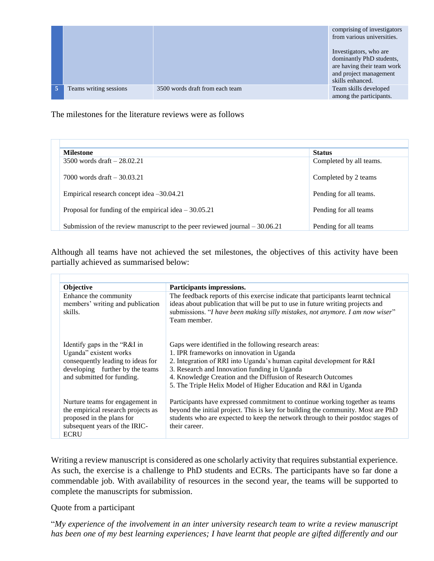|                        |                                 | comprising of investigators<br>from various universities.                                                                      |
|------------------------|---------------------------------|--------------------------------------------------------------------------------------------------------------------------------|
|                        |                                 | Investigators, who are<br>dominantly PhD students,<br>are having their team work<br>and project management<br>skills enhanced. |
| Teams writing sessions | 3500 words draft from each team | Team skills developed<br>among the participants.                                                                               |

The milestones for the literature reviews were as follows

| <b>Milestone</b>                                                             | <b>Status</b>           |
|------------------------------------------------------------------------------|-------------------------|
| 3500 words draft $-28.02.21$                                                 | Completed by all teams. |
| 7000 words draft $-30.03.21$                                                 | Completed by 2 teams    |
| Empirical research concept idea $-30.04.21$                                  | Pending for all teams.  |
| Proposal for funding of the empirical idea $-30.05.21$                       | Pending for all teams   |
| Submission of the review manuscript to the peer reviewed journal $-30.06.21$ | Pending for all teams   |

Although all teams have not achieved the set milestones, the objectives of this activity have been partially achieved as summarised below:

| Objective                                                                                                                                                    | Participants impressions.                                                                                                                                                                                                                                                                                                                                      |
|--------------------------------------------------------------------------------------------------------------------------------------------------------------|----------------------------------------------------------------------------------------------------------------------------------------------------------------------------------------------------------------------------------------------------------------------------------------------------------------------------------------------------------------|
| Enhance the community<br>members' writing and publication<br>skills.                                                                                         | The feedback reports of this exercise indicate that participants learnt technical<br>ideas about publication that will be put to use in future writing projects and<br>submissions. "I have been making silly mistakes, not anymore. I am now wiser"<br>Team member.                                                                                           |
| Identify gaps in the "R&I in<br>Uganda" existent works<br>consequently leading to ideas for<br>developing further by the teams<br>and submitted for funding. | Gaps were identified in the following research areas:<br>1. IPR frameworks on innovation in Uganda<br>2. Integration of RRI into Uganda's human capital development for R&I<br>3. Research and Innovation funding in Uganda<br>4. Knowledge Creation and the Diffusion of Research Outcomes<br>5. The Triple Helix Model of Higher Education and R&I in Uganda |
| Nurture teams for engagement in<br>the empirical research projects as<br>proposed in the plans for<br>subsequent years of the IRIC-<br><b>ECRU</b>           | Participants have expressed commitment to continue working together as teams<br>beyond the initial project. This is key for building the community. Most are PhD<br>students who are expected to keep the network through to their postdoc stages of<br>their career.                                                                                          |

Writing a review manuscript is considered as one scholarly activity that requires substantial experience. As such, the exercise is a challenge to PhD students and ECRs. The participants have so far done a commendable job. With availability of resources in the second year, the teams will be supported to complete the manuscripts for submission.

Quote from a participant

"*My experience of the involvement in an inter university research team to write a review manuscript has been one of my best learning experiences; I have learnt that people are gifted differently and our*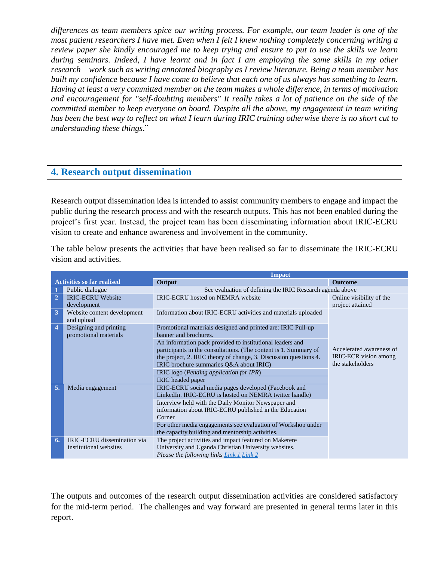*differences as team members spice our writing process. For example, our team leader is one of the most patient researchers I have met. Even when I felt I knew nothing completely concerning writing a review paper she kindly encouraged me to keep trying and ensure to put to use the skills we learn during seminars. Indeed, I have learnt and in fact I am employing the same skills in my other research work such as writing annotated biography as I review literature. Being a team member has built my confidence because I have come to believe that each one of us always has something to learn. Having at least a very committed member on the team makes a whole difference, in terms of motivation and encouragement for "self-doubting members" It really takes a lot of patience on the side of the committed member to keep everyone on board. Despite all the above, my engagement in team writing has been the best way to reflect on what I learn during IRIC training otherwise there is no short cut to understanding these things*."

### <span id="page-15-0"></span>**4. Research output dissemination**

Research output dissemination idea is intended to assist community members to engage and impact the public during the research process and with the research outputs. This has not been enabled during the project's first year. Instead, the project team has been disseminating information about IRIC-ECRU vision to create and enhance awareness and involvement in the community.

The table below presents the activities that have been realised so far to disseminate the IRIC-ECRU vision and activities.

|                |                                                              | <b>Impact</b>                                                                                                                                                                                                                                                                            |                                                                       |
|----------------|--------------------------------------------------------------|------------------------------------------------------------------------------------------------------------------------------------------------------------------------------------------------------------------------------------------------------------------------------------------|-----------------------------------------------------------------------|
|                | <b>Activities so far realised</b>                            | Output                                                                                                                                                                                                                                                                                   | <b>Outcome</b>                                                        |
| 1              | Public dialogue                                              | See evaluation of defining the IRIC Research agenda above                                                                                                                                                                                                                                |                                                                       |
| $\overline{2}$ | <b>IRIC-ECRU Website</b><br>development                      | <b>IRIC-ECRU</b> hosted on NEMRA website                                                                                                                                                                                                                                                 | Online visibility of the<br>project attained                          |
| 3              | Website content development<br>and upload                    | Information about IRIC-ECRU activities and materials uploaded                                                                                                                                                                                                                            |                                                                       |
| $\overline{4}$ | Designing and printing<br>promotional materials              | Promotional materials designed and printed are: IRIC Pull-up<br>banner and brochures.                                                                                                                                                                                                    |                                                                       |
|                |                                                              | An information pack provided to institutional leaders and<br>participants in the consultations. (The content is 1. Summary of<br>the project, 2. IRIC theory of change, 3. Discussion questions 4.<br>IRIC brochure summaries O&A about IRIC)<br>IRIC logo (Pending application for IPR) | Accelerated awareness of<br>IRIC-ECR vision among<br>the stakeholders |
|                |                                                              | <b>IRIC</b> headed paper                                                                                                                                                                                                                                                                 |                                                                       |
| 5.             | Media engagement                                             | IRIC-ECRU social media pages developed (Facebook and<br>LinkedIn. IRIC-ECRU is hosted on NEMRA twitter handle)<br>Interview held with the Daily Monitor Newspaper and<br>information about IRIC-ECRU published in the Education<br>Corner                                                |                                                                       |
|                |                                                              | For other media engagements see evaluation of Workshop under<br>the capacity building and mentorship activities.                                                                                                                                                                         |                                                                       |
| 6.             | <b>IRIC-ECRU</b> dissemination via<br>institutional websites | The project activities and impact featured on Makerere<br>University and Uganda Christian University websites.<br>Please the following links Link 1 Link 2                                                                                                                               |                                                                       |

The outputs and outcomes of the research output dissemination activities are considered satisfactory for the mid-term period. The challenges and way forward are presented in general terms later in this report.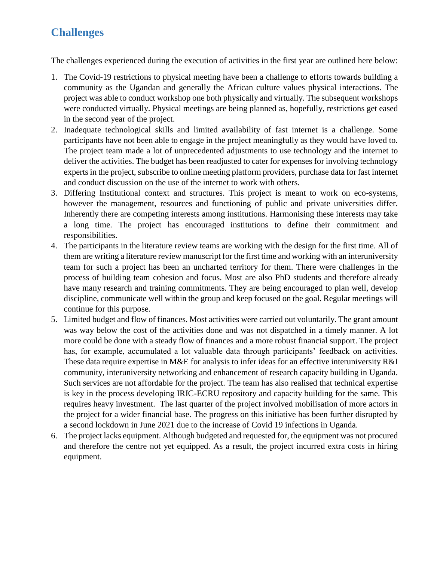# <span id="page-16-0"></span>**Challenges**

The challenges experienced during the execution of activities in the first year are outlined here below:

- 1. The Covid-19 restrictions to physical meeting have been a challenge to efforts towards building a community as the Ugandan and generally the African culture values physical interactions. The project was able to conduct workshop one both physically and virtually. The subsequent workshops were conducted virtually. Physical meetings are being planned as, hopefully, restrictions get eased in the second year of the project.
- 2. Inadequate technological skills and limited availability of fast internet is a challenge. Some participants have not been able to engage in the project meaningfully as they would have loved to. The project team made a lot of unprecedented adjustments to use technology and the internet to deliver the activities. The budget has been readjusted to cater for expenses for involving technology experts in the project, subscribe to online meeting platform providers, purchase data for fast internet and conduct discussion on the use of the internet to work with others.
- 3. Differing Institutional context and structures. This project is meant to work on eco-systems, however the management, resources and functioning of public and private universities differ. Inherently there are competing interests among institutions. Harmonising these interests may take a long time. The project has encouraged institutions to define their commitment and responsibilities.
- 4. The participants in the literature review teams are working with the design for the first time. All of them are writing a literature review manuscript for the first time and working with an interuniversity team for such a project has been an uncharted territory for them. There were challenges in the process of building team cohesion and focus. Most are also PhD students and therefore already have many research and training commitments. They are being encouraged to plan well, develop discipline, communicate well within the group and keep focused on the goal. Regular meetings will continue for this purpose.
- 5. Limited budget and flow of finances. Most activities were carried out voluntarily. The grant amount was way below the cost of the activities done and was not dispatched in a timely manner. A lot more could be done with a steady flow of finances and a more robust financial support. The project has, for example, accumulated a lot valuable data through participants' feedback on activities. These data require expertise in M&E for analysis to infer ideas for an effective interuniversity R&I community, interuniversity networking and enhancement of research capacity building in Uganda. Such services are not affordable for the project. The team has also realised that technical expertise is key in the process developing IRIC-ECRU repository and capacity building for the same. This requires heavy investment. The last quarter of the project involved mobilisation of more actors in the project for a wider financial base. The progress on this initiative has been further disrupted by a second lockdown in June 2021 due to the increase of Covid 19 infections in Uganda.
- 6. The project lacks equipment. Although budgeted and requested for, the equipment was not procured and therefore the centre not yet equipped. As a result, the project incurred extra costs in hiring equipment.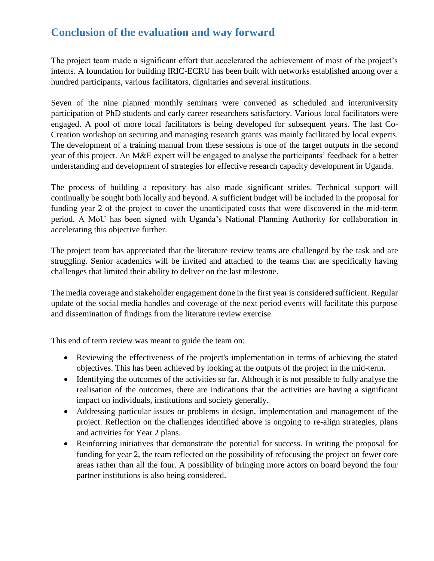# <span id="page-17-0"></span>**Conclusion of the evaluation and way forward**

The project team made a significant effort that accelerated the achievement of most of the project's intents. A foundation for building IRIC-ECRU has been built with networks established among over a hundred participants, various facilitators, dignitaries and several institutions.

Seven of the nine planned monthly seminars were convened as scheduled and interuniversity participation of PhD students and early career researchers satisfactory. Various local facilitators were engaged. A pool of more local facilitators is being developed for subsequent years. The last Co-Creation workshop on securing and managing research grants was mainly facilitated by local experts. The development of a training manual from these sessions is one of the target outputs in the second year of this project. An M&E expert will be engaged to analyse the participants' feedback for a better understanding and development of strategies for effective research capacity development in Uganda.

The process of building a repository has also made significant strides. Technical support will continually be sought both locally and beyond. A sufficient budget will be included in the proposal for funding year 2 of the project to cover the unanticipated costs that were discovered in the mid-term period. A MoU has been signed with Uganda's National Planning Authority for collaboration in accelerating this objective further.

The project team has appreciated that the literature review teams are challenged by the task and are struggling. Senior academics will be invited and attached to the teams that are specifically having challenges that limited their ability to deliver on the last milestone.

The media coverage and stakeholder engagement done in the first year is considered sufficient. Regular update of the social media handles and coverage of the next period events will facilitate this purpose and dissemination of findings from the literature review exercise.

This end of term review was meant to guide the team on:

- Reviewing the effectiveness of the project's implementation in terms of achieving the stated objectives. This has been achieved by looking at the outputs of the project in the mid-term.
- Identifying the outcomes of the activities so far. Although it is not possible to fully analyse the realisation of the outcomes, there are indications that the activities are having a significant impact on individuals, institutions and society generally.
- Addressing particular issues or problems in design, implementation and management of the project. Reflection on the challenges identified above is ongoing to re-align strategies, plans and activities for Year 2 plans.
- Reinforcing initiatives that demonstrate the potential for success. In writing the proposal for funding for year 2, the team reflected on the possibility of refocusing the project on fewer core areas rather than all the four. A possibility of bringing more actors on board beyond the four partner institutions is also being considered.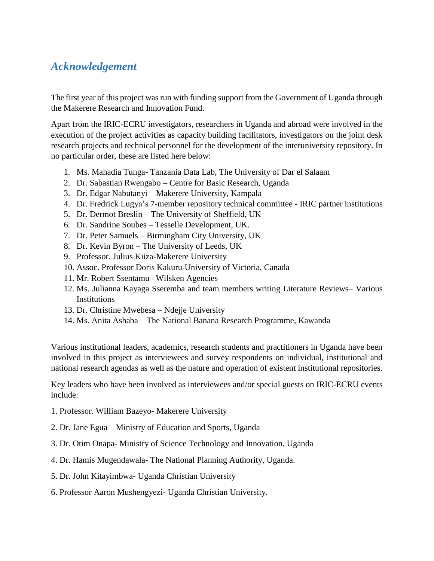# <span id="page-18-0"></span>*Acknowledgement*

The first year of this project was run with funding support from the Government of Uganda through the Makerere Research and Innovation Fund.

Apart from the IRIC-ECRU investigators, researchers in Uganda and abroad were involved in the execution of the project activities as capacity building facilitators, investigators on the joint desk research projects and technical personnel for the development of the interuniversity repository. In no particular order, these are listed here below:

- 1. Ms. Mahadia Tunga- Tanzania Data Lab, The University of Dar el Salaam
- 2. Dr. Sabastian Rwengabo Centre for Basic Research, Uganda
- 3. Dr. Edgar Nabutanyi Makerere University, Kampala
- 4. Dr. Fredrick Lugya's 7-member repository technical committee IRIC partner institutions
- 5. Dr. Dermot Breslin The University of Sheffield, UK
- 6. Dr. Sandrine Soubes Tesselle Development, UK.
- 7. Dr. Peter Samuels Birmingham City University, UK
- 8. Dr. Kevin Byron The University of Leeds, UK
- 9. Professor. Julius Kiiza-Makerere University
- 10. Assoc. Professor Doris Kakuru-University of Victoria, Canada
- 11. Mr. Robert Ssentamu Wilsken Agencies
- 12. Ms. Julianna Kayaga Sseremba and team members writing Literature Reviews– Various **Institutions**
- 13. Dr. Christine Mwebesa Ndejje University
- 14. Ms. Anita Ashaba The National Banana Research Programme, Kawanda

Various institutional leaders, academics, research students and practitioners in Uganda have been involved in this project as interviewees and survey respondents on individual, institutional and national research agendas as well as the nature and operation of existent institutional repositories.

Key leaders who have been involved as interviewees and/or special guests on IRIC-ECRU events include:

- 1. Professor. William Bazeyo- Makerere University
- 2. Dr. Jane Egua Ministry of Education and Sports, Uganda
- 3. Dr. Otim Onapa- Ministry of Science Technology and Innovation, Uganda
- 4. Dr. Hamis Mugendawala- The National Planning Authority, Uganda.
- 5. Dr. John Kitayimbwa- Uganda Christian University
- 6. Professor Aaron Mushengyezi- Uganda Christian University.